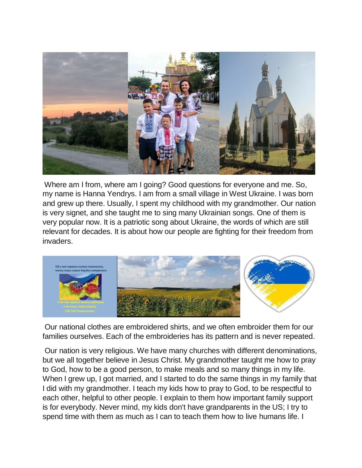

Where am I from, where am I going? Good questions for everyone and me. So, my name is Hanna Yendrys. I am from a small village in West Ukraine. I was born and grew up there. Usually, I spent my childhood with my grandmother. Our nation is very signet, and she taught me to sing many Ukrainian songs. One of them is very popular now. It is a patriotic song about Ukraine, the words of which are still relevant for decades. It is about how our people are fighting for their freedom from invaders.



Our national clothes are embroidered shirts, and we often embroider them for our families ourselves. Each of the embroideries has its pattern and is never repeated.

Our nation is very religious. We have many churches with different denominations, but we all together believe in Jesus Christ. My grandmother taught me how to pray to God, how to be a good person, to make meals and so many things in my life. When I grew up, I got married, and I started to do the same things in my family that I did with my grandmother. I teach my kids how to pray to God, to be respectful to each other, helpful to other people. I explain to them how important family support is for everybody. Never mind, my kids don't have grandparents in the US; I try to spend time with them as much as I can to teach them how to live humans life. I